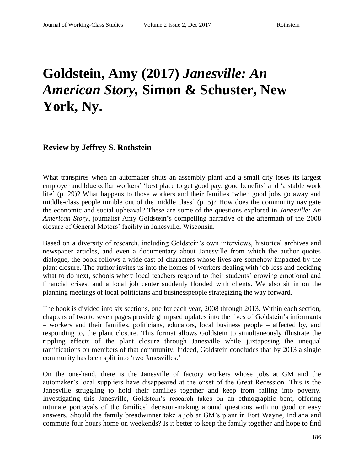## **Goldstein, Amy (2017)** *Janesville: An American Story,* **Simon & Schuster, New York, Ny.**

## **Review by Jeffrey S. Rothstein**

What transpires when an automaker shuts an assembly plant and a small city loses its largest employer and blue collar workers' 'best place to get good pay, good benefits' and 'a stable work life' (p. 29)? What happens to those workers and their families 'when good jobs go away and middle-class people tumble out of the middle class' (p. 5)? How does the community navigate the economic and social upheaval? These are some of the questions explored in *Janesville: An American Story*, journalist Amy Goldstein's compelling narrative of the aftermath of the 2008 closure of General Motors' facility in Janesville, Wisconsin.

Based on a diversity of research, including Goldstein's own interviews, historical archives and newspaper articles, and even a documentary about Janesville from which the author quotes dialogue, the book follows a wide cast of characters whose lives are somehow impacted by the plant closure. The author invites us into the homes of workers dealing with job loss and deciding what to do next, schools where local teachers respond to their students' growing emotional and financial crises, and a local job center suddenly flooded with clients. We also sit in on the planning meetings of local politicians and businesspeople strategizing the way forward.

The book is divided into six sections, one for each year, 2008 through 2013. Within each section, chapters of two to seven pages provide glimpsed updates into the lives of Goldstein's informants – workers and their families, politicians, educators, local business people – affected by, and responding to, the plant closure. This format allows Goldstein to simultaneously illustrate the rippling effects of the plant closure through Janesville while juxtaposing the unequal ramifications on members of that community. Indeed, Goldstein concludes that by 2013 a single community has been split into 'two Janesvilles.'

On the one-hand, there is the Janesville of factory workers whose jobs at GM and the automaker's local suppliers have disappeared at the onset of the Great Recession. This is the Janesville struggling to hold their families together and keep from falling into poverty. Investigating this Janesville, Goldstein's research takes on an ethnographic bent, offering intimate portrayals of the families' decision-making around questions with no good or easy answers. Should the family breadwinner take a job at GM's plant in Fort Wayne, Indiana and commute four hours home on weekends? Is it better to keep the family together and hope to find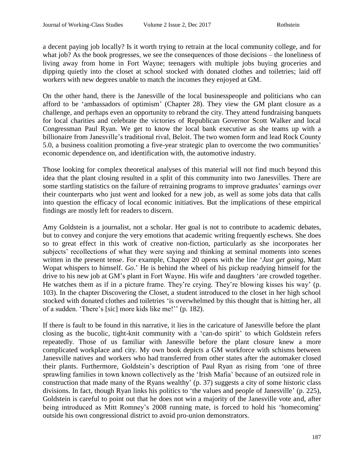a decent paying job locally? Is it worth trying to retrain at the local community college, and for what job? As the book progresses, we see the consequences of those decisions – the loneliness of living away from home in Fort Wayne; teenagers with multiple jobs buying groceries and dipping quietly into the closet at school stocked with donated clothes and toiletries; laid off workers with new degrees unable to match the incomes they enjoyed at GM.

On the other hand, there is the Janesville of the local businesspeople and politicians who can afford to be 'ambassadors of optimism' (Chapter 28). They view the GM plant closure as a challenge, and perhaps even an opportunity to rebrand the city. They attend fundraising banquets for local charities and celebrate the victories of Republican Governor Scott Walker and local Congressman Paul Ryan. We get to know the local bank executive as she teams up with a billionaire from Janesville's traditional rival, Beloit. The two women form and lead Rock County 5.0, a business coalition promoting a five-year strategic plan to overcome the two communities' economic dependence on, and identification with, the automotive industry.

Those looking for complex theoretical analyses of this material will not find much beyond this idea that the plant closing resulted in a split of this community into two Janesvilles. There are some startling statistics on the failure of retraining programs to improve graduates' earnings over their counterparts who just went and looked for a new job, as well as some jobs data that calls into question the efficacy of local economic initiatives. But the implications of these empirical findings are mostly left for readers to discern.

Amy Goldstein is a journalist, not a scholar. Her goal is not to contribute to academic debates, but to convey and conjure the very emotions that academic writing frequently eschews. She does so to great effect in this work of creative non-fiction, particularly as she incorporates her subjects' recollections of what they were saying and thinking at seminal moments into scenes written in the present tense. For example, Chapter 20 opens with the line '*Just get going*, Matt Wopat whispers to himself. *Go*.' He is behind the wheel of his pickup readying himself for the drive to his new job at GM's plant in Fort Wayne. His wife and daughters 'are crowded together. He watches them as if in a picture frame. They're crying. They're blowing kisses his way' (p. 103). In the chapter Discovering the Closet, a student introduced to the closet in her high school stocked with donated clothes and toiletries 'is overwhelmed by this thought that is hitting her, all of a sudden. 'There's [sic] more kids like me!'' (p. 182).

If there is fault to be found in this narrative, it lies in the caricature of Janesville before the plant closing as the bucolic, tight-knit community with a 'can-do spirit' to which Goldstein refers repeatedly. Those of us familiar with Janesville before the plant closure knew a more complicated workplace and city. My own book depicts a GM workforce with schisms between Janesville natives and workers who had transferred from other states after the automaker closed their plants. Furthermore, Goldstein's description of Paul Ryan as rising from 'one of three sprawling families in town known collectively as the 'Irish Mafia' because of an outsized role in construction that made many of the Ryans wealthy' (p. 37) suggests a city of some historic class divisions. In fact, though Ryan links his politics to 'the values and people of Janesville' (p. 225), Goldstein is careful to point out that he does not win a majority of the Janesville vote and, after being introduced as Mitt Romney's 2008 running mate, is forced to hold his 'homecoming' outside his own congressional district to avoid pro-union demonstrators.